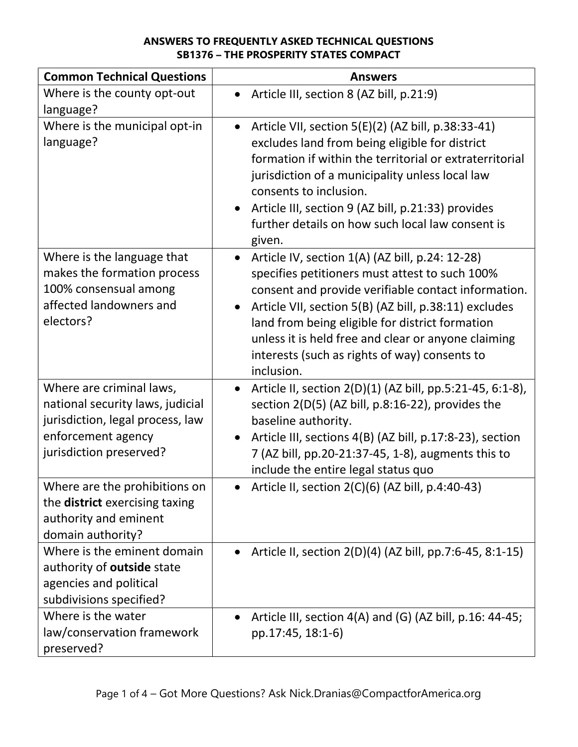| <b>Common Technical Questions</b>                                                                                                                 | <b>Answers</b>                                                                                                                                                                                                                                                                                                                                                                                          |
|---------------------------------------------------------------------------------------------------------------------------------------------------|---------------------------------------------------------------------------------------------------------------------------------------------------------------------------------------------------------------------------------------------------------------------------------------------------------------------------------------------------------------------------------------------------------|
| Where is the county opt-out<br>language?                                                                                                          | Article III, section 8 (AZ bill, p.21:9)<br>$\bullet$                                                                                                                                                                                                                                                                                                                                                   |
| Where is the municipal opt-in<br>language?                                                                                                        | Article VII, section 5(E)(2) (AZ bill, p.38:33-41)<br>$\bullet$<br>excludes land from being eligible for district<br>formation if within the territorial or extraterritorial<br>jurisdiction of a municipality unless local law<br>consents to inclusion.<br>Article III, section 9 (AZ bill, p.21:33) provides<br>further details on how such local law consent is<br>given.                           |
| Where is the language that<br>makes the formation process<br>100% consensual among<br>affected landowners and<br>electors?                        | Article IV, section 1(A) (AZ bill, p.24: 12-28)<br>$\bullet$<br>specifies petitioners must attest to such 100%<br>consent and provide verifiable contact information.<br>Article VII, section 5(B) (AZ bill, p.38:11) excludes<br>land from being eligible for district formation<br>unless it is held free and clear or anyone claiming<br>interests (such as rights of way) consents to<br>inclusion. |
| Where are criminal laws,<br>national security laws, judicial<br>jurisdiction, legal process, law<br>enforcement agency<br>jurisdiction preserved? | Article II, section 2(D)(1) (AZ bill, pp.5:21-45, 6:1-8),<br>$\bullet$<br>section 2(D(5) (AZ bill, p.8:16-22), provides the<br>baseline authority.<br>Article III, sections 4(B) (AZ bill, p.17:8-23), section<br>7 (AZ bill, pp.20-21:37-45, 1-8), augments this to                                                                                                                                    |
|                                                                                                                                                   | include the entire legal status quo                                                                                                                                                                                                                                                                                                                                                                     |
| Where are the prohibitions on<br>the <b>district</b> exercising taxing<br>authority and eminent<br>domain authority?                              | Article II, section 2(C)(6) (AZ bill, p.4:40-43)                                                                                                                                                                                                                                                                                                                                                        |
| Where is the eminent domain<br>authority of outside state<br>agencies and political<br>subdivisions specified?                                    | Article II, section 2(D)(4) (AZ bill, pp.7:6-45, 8:1-15)                                                                                                                                                                                                                                                                                                                                                |
| Where is the water<br>law/conservation framework<br>preserved?                                                                                    | Article III, section 4(A) and (G) (AZ bill, p.16: 44-45;<br>pp.17:45, 18:1-6)                                                                                                                                                                                                                                                                                                                           |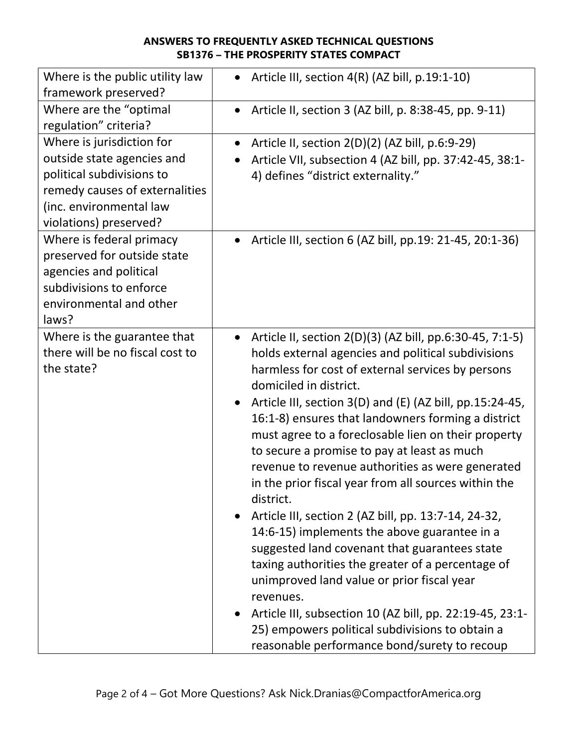| Where is the public utility law<br>framework preserved?                                                                                                                     | Article III, section 4(R) (AZ bill, p.19:1-10)                                                                                                                                                                                                                                                                                                                                                                                                                                                                                                                                                                                                                                                                                                                                                                                                                                                                                                                                                      |
|-----------------------------------------------------------------------------------------------------------------------------------------------------------------------------|-----------------------------------------------------------------------------------------------------------------------------------------------------------------------------------------------------------------------------------------------------------------------------------------------------------------------------------------------------------------------------------------------------------------------------------------------------------------------------------------------------------------------------------------------------------------------------------------------------------------------------------------------------------------------------------------------------------------------------------------------------------------------------------------------------------------------------------------------------------------------------------------------------------------------------------------------------------------------------------------------------|
| Where are the "optimal"<br>regulation" criteria?                                                                                                                            | Article II, section 3 (AZ bill, p. 8:38-45, pp. 9-11)                                                                                                                                                                                                                                                                                                                                                                                                                                                                                                                                                                                                                                                                                                                                                                                                                                                                                                                                               |
| Where is jurisdiction for<br>outside state agencies and<br>political subdivisions to<br>remedy causes of externalities<br>(inc. environmental law<br>violations) preserved? | Article II, section 2(D)(2) (AZ bill, p.6:9-29)<br>Article VII, subsection 4 (AZ bill, pp. 37:42-45, 38:1-<br>4) defines "district externality."                                                                                                                                                                                                                                                                                                                                                                                                                                                                                                                                                                                                                                                                                                                                                                                                                                                    |
| Where is federal primacy<br>preserved for outside state<br>agencies and political<br>subdivisions to enforce<br>environmental and other<br>laws?                            | Article III, section 6 (AZ bill, pp.19: 21-45, 20:1-36)                                                                                                                                                                                                                                                                                                                                                                                                                                                                                                                                                                                                                                                                                                                                                                                                                                                                                                                                             |
| Where is the guarantee that<br>there will be no fiscal cost to<br>the state?                                                                                                | Article II, section 2(D)(3) (AZ bill, pp.6:30-45, 7:1-5)<br>$\bullet$<br>holds external agencies and political subdivisions<br>harmless for cost of external services by persons<br>domiciled in district.<br>Article III, section 3(D) and (E) (AZ bill, pp.15:24-45,<br>16:1-8) ensures that landowners forming a district<br>must agree to a foreclosable lien on their property<br>to secure a promise to pay at least as much<br>revenue to revenue authorities as were generated<br>in the prior fiscal year from all sources within the<br>district.<br>Article III, section 2 (AZ bill, pp. 13:7-14, 24-32,<br>14:6-15) implements the above guarantee in a<br>suggested land covenant that guarantees state<br>taxing authorities the greater of a percentage of<br>unimproved land value or prior fiscal year<br>revenues.<br>Article III, subsection 10 (AZ bill, pp. 22:19-45, 23:1-<br>25) empowers political subdivisions to obtain a<br>reasonable performance bond/surety to recoup |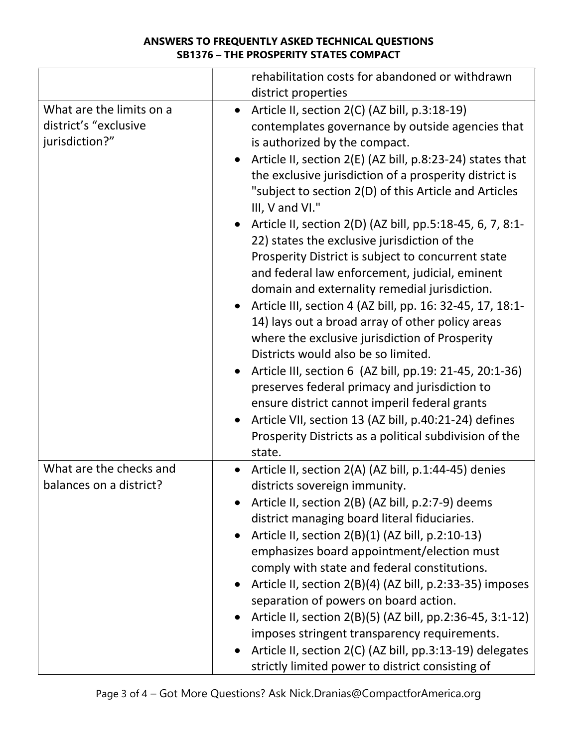|                                                                     | rehabilitation costs for abandoned or withdrawn                                                                                                                                                                                                                                                                                                                                                                                                                                                                                                                                                                                                                                                                                                                                                                                                                                                                                                                                                                                                                                                                              |
|---------------------------------------------------------------------|------------------------------------------------------------------------------------------------------------------------------------------------------------------------------------------------------------------------------------------------------------------------------------------------------------------------------------------------------------------------------------------------------------------------------------------------------------------------------------------------------------------------------------------------------------------------------------------------------------------------------------------------------------------------------------------------------------------------------------------------------------------------------------------------------------------------------------------------------------------------------------------------------------------------------------------------------------------------------------------------------------------------------------------------------------------------------------------------------------------------------|
|                                                                     | district properties                                                                                                                                                                                                                                                                                                                                                                                                                                                                                                                                                                                                                                                                                                                                                                                                                                                                                                                                                                                                                                                                                                          |
| What are the limits on a<br>district's "exclusive<br>jurisdiction?" | Article II, section 2(C) (AZ bill, p.3:18-19)<br>$\bullet$<br>contemplates governance by outside agencies that<br>is authorized by the compact.<br>Article II, section 2(E) (AZ bill, p.8:23-24) states that<br>the exclusive jurisdiction of a prosperity district is<br>"subject to section 2(D) of this Article and Articles<br>III, V and VI."<br>Article II, section 2(D) (AZ bill, pp.5:18-45, 6, 7, 8:1-<br>22) states the exclusive jurisdiction of the<br>Prosperity District is subject to concurrent state<br>and federal law enforcement, judicial, eminent<br>domain and externality remedial jurisdiction.<br>Article III, section 4 (AZ bill, pp. 16: 32-45, 17, 18:1-<br>14) lays out a broad array of other policy areas<br>where the exclusive jurisdiction of Prosperity<br>Districts would also be so limited.<br>Article III, section 6 (AZ bill, pp.19: 21-45, 20:1-36)<br>preserves federal primacy and jurisdiction to<br>ensure district cannot imperil federal grants<br>Article VII, section 13 (AZ bill, p.40:21-24) defines<br>Prosperity Districts as a political subdivision of the<br>state. |
| What are the checks and<br>balances on a district?                  | Article II, section 2(A) (AZ bill, p.1:44-45) denies<br>districts sovereign immunity.<br>Article II, section 2(B) (AZ bill, p.2:7-9) deems<br>district managing board literal fiduciaries.<br>Article II, section 2(B)(1) (AZ bill, p.2:10-13)<br>emphasizes board appointment/election must<br>comply with state and federal constitutions.<br>Article II, section 2(B)(4) (AZ bill, p.2:33-35) imposes<br>separation of powers on board action.<br>Article II, section 2(B)(5) (AZ bill, pp.2:36-45, 3:1-12)<br>imposes stringent transparency requirements.<br>Article II, section 2(C) (AZ bill, pp.3:13-19) delegates<br>strictly limited power to district consisting of                                                                                                                                                                                                                                                                                                                                                                                                                                               |